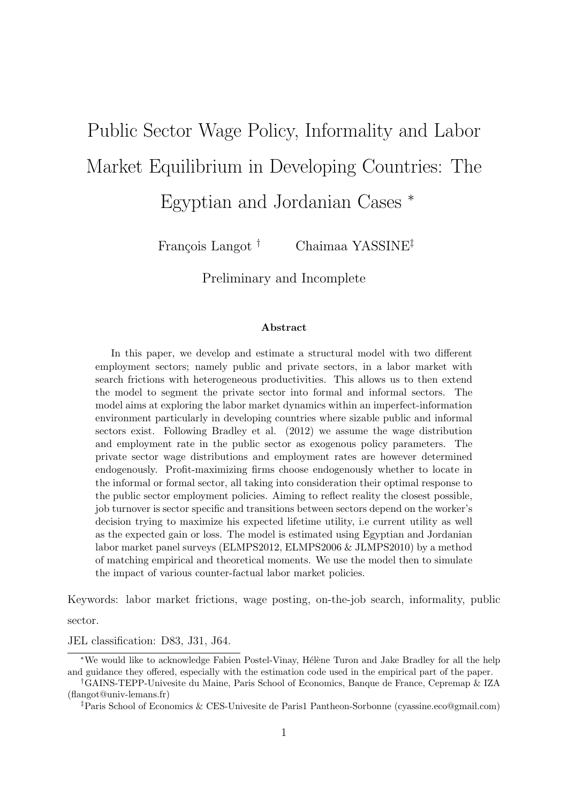# Public Sector Wage Policy, Informality and Labor Market Equilibrium in Developing Countries: The

Egyptian and Jordanian Cases <sup>∗</sup>

François Langot<sup>†</sup> Chaimaa YASSINE<sup>‡</sup>

Preliminary and Incomplete

#### Abstract

In this paper, we develop and estimate a structural model with two different employment sectors; namely public and private sectors, in a labor market with search frictions with heterogeneous productivities. This allows us to then extend the model to segment the private sector into formal and informal sectors. The model aims at exploring the labor market dynamics within an imperfect-information environment particularly in developing countries where sizable public and informal sectors exist. Following Bradley et al. (2012) we assume the wage distribution and employment rate in the public sector as exogenous policy parameters. The private sector wage distributions and employment rates are however determined endogenously. Profit-maximizing firms choose endogenously whether to locate in the informal or formal sector, all taking into consideration their optimal response to the public sector employment policies. Aiming to reflect reality the closest possible, job turnover is sector specific and transitions between sectors depend on the worker's decision trying to maximize his expected lifetime utility, i.e current utility as well as the expected gain or loss. The model is estimated using Egyptian and Jordanian labor market panel surveys (ELMPS2012, ELMPS2006 & JLMPS2010) by a method of matching empirical and theoretical moments. We use the model then to simulate the impact of various counter-factual labor market policies.

Keywords: labor market frictions, wage posting, on-the-job search, informality, public

sector.

JEL classification: D83, J31, J64.

<sup>\*</sup>We would like to acknowledge Fabien Postel-Vinay, Hélène Turon and Jake Bradley for all the help and guidance they offered, especially with the estimation code used in the empirical part of the paper.

<sup>†</sup>GAINS-TEPP-Univesite du Maine, Paris School of Economics, Banque de France, Cepremap & IZA (flangot@univ-lemans.fr)

<sup>‡</sup>Paris School of Economics & CES-Univesite de Paris1 Pantheon-Sorbonne (cyassine.eco@gmail.com)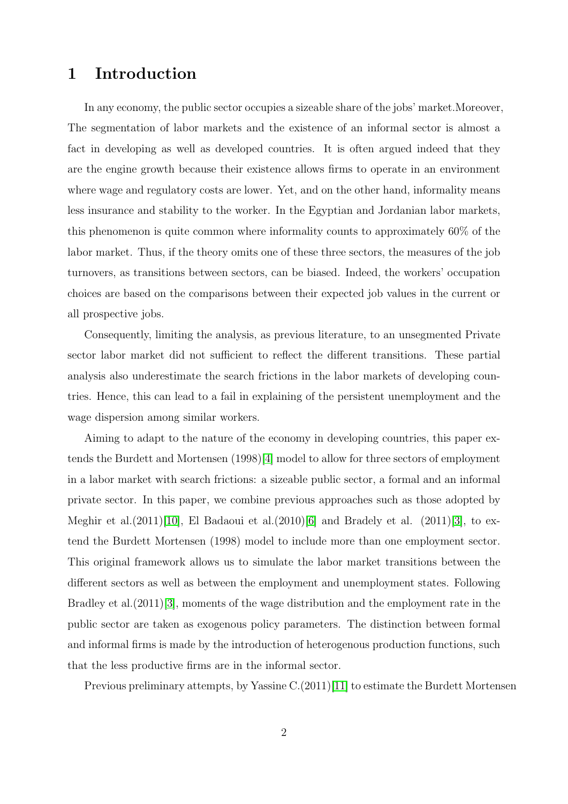## 1 Introduction

In any economy, the public sector occupies a sizeable share of the jobs' market.Moreover, The segmentation of labor markets and the existence of an informal sector is almost a fact in developing as well as developed countries. It is often argued indeed that they are the engine growth because their existence allows firms to operate in an environment where wage and regulatory costs are lower. Yet, and on the other hand, informality means less insurance and stability to the worker. In the Egyptian and Jordanian labor markets, this phenomenon is quite common where informality counts to approximately 60% of the labor market. Thus, if the theory omits one of these three sectors, the measures of the job turnovers, as transitions between sectors, can be biased. Indeed, the workers' occupation choices are based on the comparisons between their expected job values in the current or all prospective jobs.

Consequently, limiting the analysis, as previous literature, to an unsegmented Private sector labor market did not sufficient to reflect the different transitions. These partial analysis also underestimate the search frictions in the labor markets of developing countries. Hence, this can lead to a fail in explaining of the persistent unemployment and the wage dispersion among similar workers.

Aiming to adapt to the nature of the economy in developing countries, this paper extends the Burdett and Mortensen (1998)[\[4\]](#page-24-0) model to allow for three sectors of employment in a labor market with search frictions: a sizeable public sector, a formal and an informal private sector. In this paper, we combine previous approaches such as those adopted by Meghir et al. $(2011)[10]$  $(2011)[10]$ , El Badaoui et al. $(2010)[6]$  $(2010)[6]$  and Bradely et al.  $(2011)[3]$  $(2011)[3]$ , to extend the Burdett Mortensen (1998) model to include more than one employment sector. This original framework allows us to simulate the labor market transitions between the different sectors as well as between the employment and unemployment states. Following Bradley et al.(2011)[\[3\]](#page-24-2), moments of the wage distribution and the employment rate in the public sector are taken as exogenous policy parameters. The distinction between formal and informal firms is made by the introduction of heterogenous production functions, such that the less productive firms are in the informal sector.

Previous preliminary attempts, by Yassine C.(2011)[\[11\]](#page-25-1) to estimate the Burdett Mortensen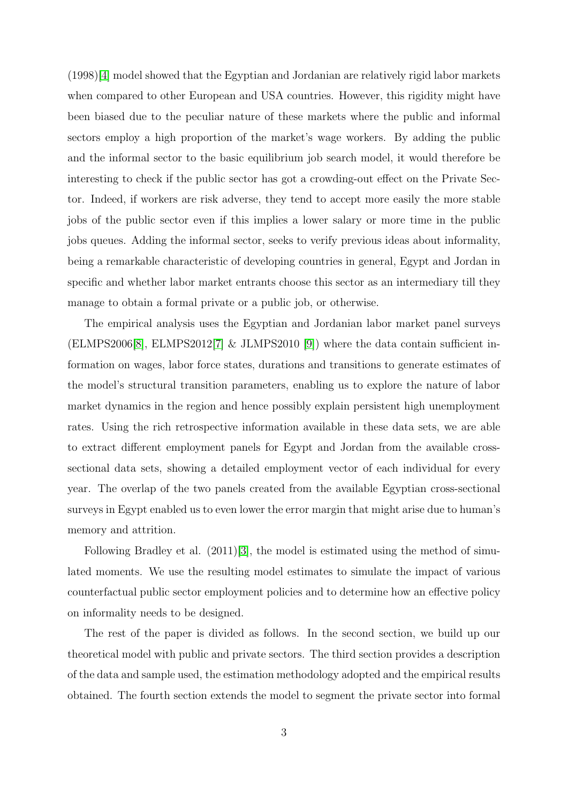(1998)[\[4\]](#page-24-0) model showed that the Egyptian and Jordanian are relatively rigid labor markets when compared to other European and USA countries. However, this rigidity might have been biased due to the peculiar nature of these markets where the public and informal sectors employ a high proportion of the market's wage workers. By adding the public and the informal sector to the basic equilibrium job search model, it would therefore be interesting to check if the public sector has got a crowding-out effect on the Private Sector. Indeed, if workers are risk adverse, they tend to accept more easily the more stable jobs of the public sector even if this implies a lower salary or more time in the public jobs queues. Adding the informal sector, seeks to verify previous ideas about informality, being a remarkable characteristic of developing countries in general, Egypt and Jordan in specific and whether labor market entrants choose this sector as an intermediary till they manage to obtain a formal private or a public job, or otherwise.

The empirical analysis uses the Egyptian and Jordanian labor market panel surveys (ELMPS2006[\[8\]](#page-25-2), ELMPS2012[\[7\]](#page-25-3) & JLMPS2010 [\[9\]](#page-25-4)) where the data contain sufficient information on wages, labor force states, durations and transitions to generate estimates of the model's structural transition parameters, enabling us to explore the nature of labor market dynamics in the region and hence possibly explain persistent high unemployment rates. Using the rich retrospective information available in these data sets, we are able to extract different employment panels for Egypt and Jordan from the available crosssectional data sets, showing a detailed employment vector of each individual for every year. The overlap of the two panels created from the available Egyptian cross-sectional surveys in Egypt enabled us to even lower the error margin that might arise due to human's memory and attrition.

Following Bradley et al. (2011)[\[3\]](#page-24-2), the model is estimated using the method of simulated moments. We use the resulting model estimates to simulate the impact of various counterfactual public sector employment policies and to determine how an effective policy on informality needs to be designed.

The rest of the paper is divided as follows. In the second section, we build up our theoretical model with public and private sectors. The third section provides a description of the data and sample used, the estimation methodology adopted and the empirical results obtained. The fourth section extends the model to segment the private sector into formal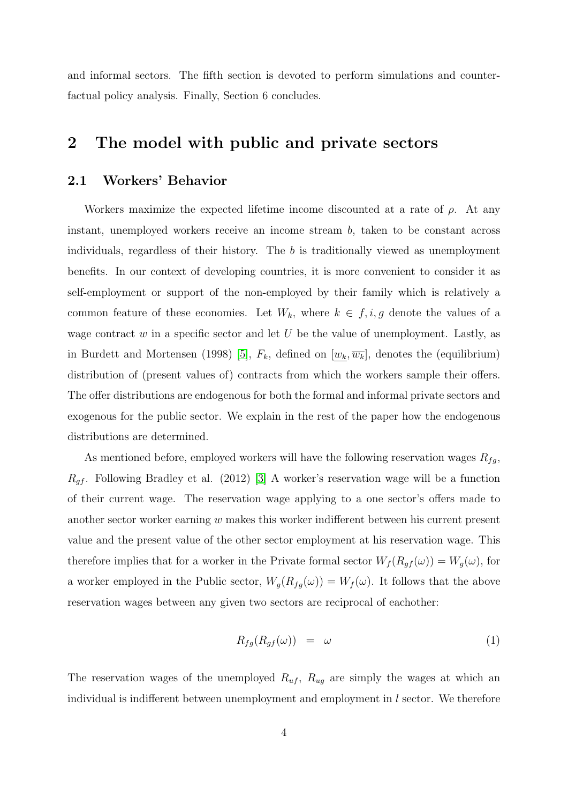and informal sectors. The fifth section is devoted to perform simulations and counterfactual policy analysis. Finally, Section 6 concludes.

## 2 The model with public and private sectors

## 2.1 Workers' Behavior

Workers maximize the expected lifetime income discounted at a rate of  $\rho$ . At any instant, unemployed workers receive an income stream  $b$ , taken to be constant across individuals, regardless of their history. The  $b$  is traditionally viewed as unemployment benefits. In our context of developing countries, it is more convenient to consider it as self-employment or support of the non-employed by their family which is relatively a common feature of these economies. Let  $W_k$ , where  $k \in f, i, g$  denote the values of a wage contract  $w$  in a specific sector and let  $U$  be the value of unemployment. Lastly, as in Burdett and Mortensen (1998) [\[5\]](#page-24-3),  $F_k$ , defined on  $[w_k, \overline{w_k}]$ , denotes the (equilibrium) distribution of (present values of) contracts from which the workers sample their offers. The offer distributions are endogenous for both the formal and informal private sectors and exogenous for the public sector. We explain in the rest of the paper how the endogenous distributions are determined.

As mentioned before, employed workers will have the following reservation wages  $R_{fg}$ ,  $R_{gf}$ . Following Bradley et al. (2012) [\[3\]](#page-24-2) A worker's reservation wage will be a function of their current wage. The reservation wage applying to a one sector's offers made to another sector worker earning  $w$  makes this worker indifferent between his current present value and the present value of the other sector employment at his reservation wage. This therefore implies that for a worker in the Private formal sector  $W_f(R_{gf}(\omega)) = W_g(\omega)$ , for a worker employed in the Public sector,  $W_g(R_{fg}(\omega)) = W_f(\omega)$ . It follows that the above reservation wages between any given two sectors are reciprocal of eachother:

<span id="page-3-0"></span>
$$
R_{fg}(R_{gf}(\omega)) = \omega \tag{1}
$$

The reservation wages of the unemployed  $R_{uf}$ ,  $R_{ug}$  are simply the wages at which an individual is indifferent between unemployment and employment in  $l$  sector. We therefore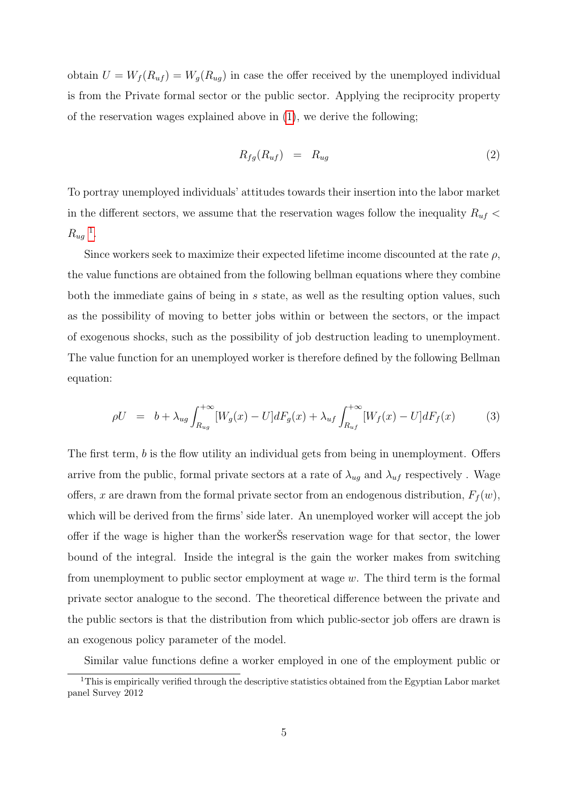obtain  $U = W_f(R_{uf}) = W_g(R_{ug})$  in case the offer received by the unemployed individual is from the Private formal sector or the public sector. Applying the reciprocity property of the reservation wages explained above in [\(1\)](#page-3-0), we derive the following;

<span id="page-4-1"></span>
$$
R_{fg}(R_{uf}) = R_{ug} \tag{2}
$$

To portray unemployed individuals' attitudes towards their insertion into the labor market in the different sectors, we assume that the reservation wages follow the inequality  $R_{uf}$  <  $R_{ug}$ <sup>[1](#page-4-0)</sup>.

Since workers seek to maximize their expected lifetime income discounted at the rate  $\rho$ , the value functions are obtained from the following bellman equations where they combine both the immediate gains of being in s state, as well as the resulting option values, such as the possibility of moving to better jobs within or between the sectors, or the impact of exogenous shocks, such as the possibility of job destruction leading to unemployment. The value function for an unemployed worker is therefore defined by the following Bellman equation:

$$
\rho U = b + \lambda_{ug} \int_{R_{ug}}^{+\infty} [W_g(x) - U] dF_g(x) + \lambda_{uf} \int_{R_{uf}}^{+\infty} [W_f(x) - U] dF_f(x) \tag{3}
$$

The first term, b is the flow utility an individual gets from being in unemployment. Offers arrive from the public, formal private sectors at a rate of  $\lambda_{ug}$  and  $\lambda_{uf}$  respectively. Wage offers, x are drawn from the formal private sector from an endogenous distribution,  $F_f(w)$ , which will be derived from the firms' side later. An unemployed worker will accept the job offer if the wage is higher than the workerSs reservation wage for that sector, the lower bound of the integral. Inside the integral is the gain the worker makes from switching from unemployment to public sector employment at wage w. The third term is the formal private sector analogue to the second. The theoretical difference between the private and the public sectors is that the distribution from which public-sector job offers are drawn is an exogenous policy parameter of the model.

<span id="page-4-0"></span>Similar value functions define a worker employed in one of the employment public or

<sup>&</sup>lt;sup>1</sup>This is empirically verified through the descriptive statistics obtained from the Egyptian Labor market panel Survey 2012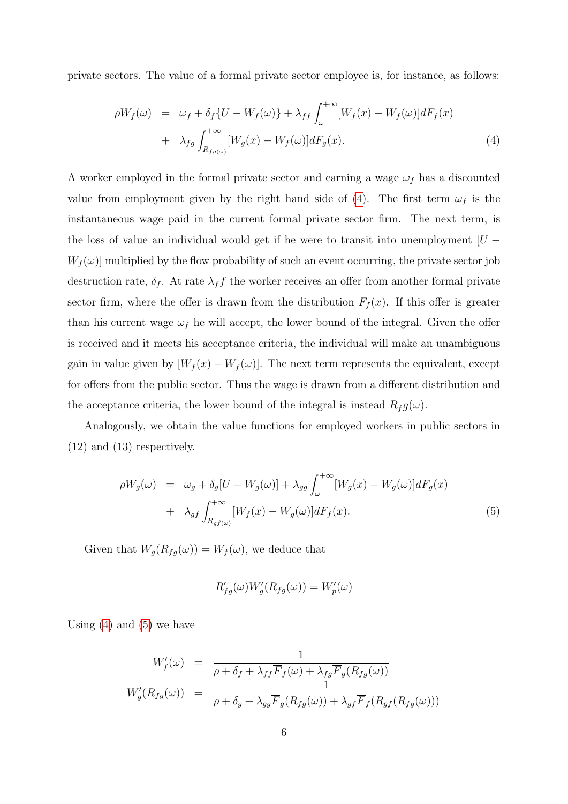private sectors. The value of a formal private sector employee is, for instance, as follows:

<span id="page-5-0"></span>
$$
\rho W_f(\omega) = \omega_f + \delta_f \{ U - W_f(\omega) \} + \lambda_{ff} \int_{\omega}^{+\infty} [W_f(x) - W_f(\omega)] dF_f(x) + \lambda_{fg} \int_{R_{fg(\omega)}}^{+\infty} [W_g(x) - W_f(\omega)] dF_g(x).
$$
\n(4)

A worker employed in the formal private sector and earning a wage  $\omega_f$  has a discounted value from employment given by the right hand side of [\(4\)](#page-5-0). The first term  $\omega_f$  is the instantaneous wage paid in the current formal private sector firm. The next term, is the loss of value an individual would get if he were to transit into unemployment  $|U W_f(\omega)$  multiplied by the flow probability of such an event occurring, the private sector job destruction rate,  $\delta_f$ . At rate  $\lambda_f f$  the worker receives an offer from another formal private sector firm, where the offer is drawn from the distribution  $F_f(x)$ . If this offer is greater than his current wage  $\omega_f$  he will accept, the lower bound of the integral. Given the offer is received and it meets his acceptance criteria, the individual will make an unambiguous gain in value given by  $[W_f(x) - W_f(\omega)]$ . The next term represents the equivalent, except for offers from the public sector. Thus the wage is drawn from a different distribution and the acceptance criteria, the lower bound of the integral is instead  $R_f g(\omega)$ .

Analogously, we obtain the value functions for employed workers in public sectors in (12) and (13) respectively.

<span id="page-5-1"></span>
$$
\rho W_g(\omega) = \omega_g + \delta_g [U - W_g(\omega)] + \lambda_{gg} \int_{\omega}^{+\infty} [W_g(x) - W_g(\omega)] dF_g(x)
$$
  
+ 
$$
\lambda_{gf} \int_{R_{gf(\omega)}}^{+\infty} [W_f(x) - W_g(\omega)] dF_f(x).
$$
 (5)

Given that  $W_g(R_{fg}(\omega)) = W_f(\omega)$ , we deduce that

$$
R'_{fg}(\omega)W'_g(R_{fg}(\omega)) = W'_p(\omega)
$$

Using  $(4)$  and  $(5)$  we have

$$
W'_{f}(\omega) = \frac{1}{\rho + \delta_{f} + \lambda_{ff} \overline{F}_{f}(\omega) + \lambda_{fg} \overline{F}_{g}(R_{fg}(\omega))}
$$
  

$$
W'_{g}(R_{fg}(\omega)) = \frac{1}{\rho + \delta_{g} + \lambda_{gg} \overline{F}_{g}(R_{fg}(\omega)) + \lambda_{gf} \overline{F}_{f}(R_{gf}(R_{fg}(\omega)))}
$$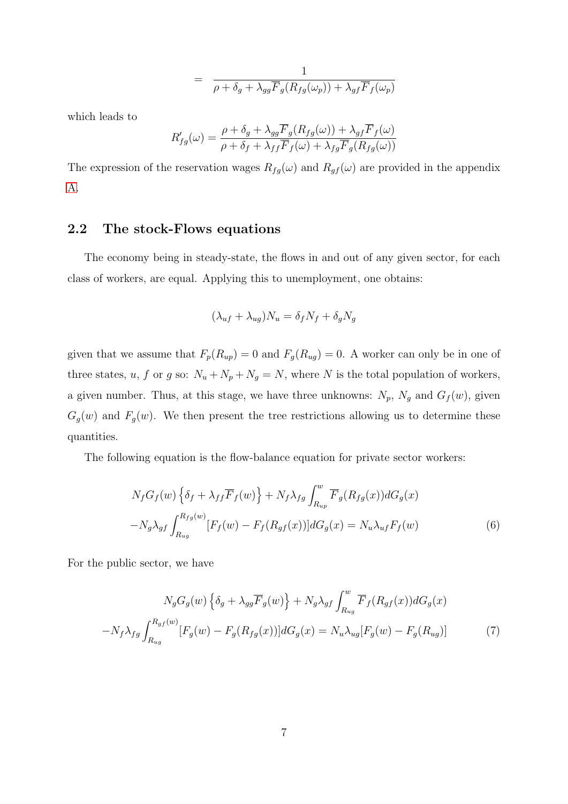$$
= \frac{1}{\rho + \delta_g + \lambda_{gg} \overline{F}_g(R_{fg}(\omega_p)) + \lambda_{gf} \overline{F}_f(\omega_p)}
$$

which leads to

$$
R'_{fg}(\omega) = \frac{\rho + \delta_g + \lambda_{gg} \overline{F}_g(R_{fg}(\omega)) + \lambda_{gf} \overline{F}_f(\omega)}{\rho + \delta_f + \lambda_{ff} \overline{F}_f(\omega) + \lambda_{fg} \overline{F}_g(R_{fg}(\omega))}
$$

The expression of the reservation wages  $R_{fg}(\omega)$  and  $R_{gf}(\omega)$  are provided in the appendix [A.](#page-26-0)

## <span id="page-6-2"></span>2.2 The stock-Flows equations

The economy being in steady-state, the flows in and out of any given sector, for each class of workers, are equal. Applying this to unemployment, one obtains:

$$
(\lambda_{uf} + \lambda_{ug})N_u = \delta_f N_f + \delta_g N_g
$$

given that we assume that  $F_p(R_{up}) = 0$  and  $F_g(R_{ug}) = 0$ . A worker can only be in one of three states, u, f or g so:  $N_u + N_p + N_g = N$ , where N is the total population of workers, a given number. Thus, at this stage, we have three unknowns:  $N_p$ ,  $N_g$  and  $G_f(w)$ , given  $G_g(w)$  and  $F_g(w)$ . We then present the tree restrictions allowing us to determine these quantities.

The following equation is the flow-balance equation for private sector workers:

<span id="page-6-0"></span>
$$
N_f G_f(w) \left\{ \delta_f + \lambda_{ff} \overline{F}_f(w) \right\} + N_f \lambda_{fg} \int_{R_{up}}^w \overline{F}_g(R_{fg}(x)) dG_g(x)
$$

$$
-N_g \lambda_{gf} \int_{R_{ug}}^{R_{fg}(w)} [F_f(w) - F_f(R_{gf}(x))] dG_g(x) = N_u \lambda_{uf} F_f(w) \tag{6}
$$

For the public sector, we have

<span id="page-6-1"></span>
$$
N_g G_g(w) \left\{ \delta_g + \lambda_{gg} \overline{F}_g(w) \right\} + N_g \lambda_{gf} \int_{R_{ug}}^w \overline{F}_f(R_{gf}(x)) dG_g(x)
$$

$$
-N_f \lambda_{fg} \int_{R_{ug}}^{R_{gf}(w)} [F_g(w) - F_g(R_{fg}(x))] dG_g(x) = N_u \lambda_{ug} [F_g(w) - F_g(R_{ug})]
$$
(7)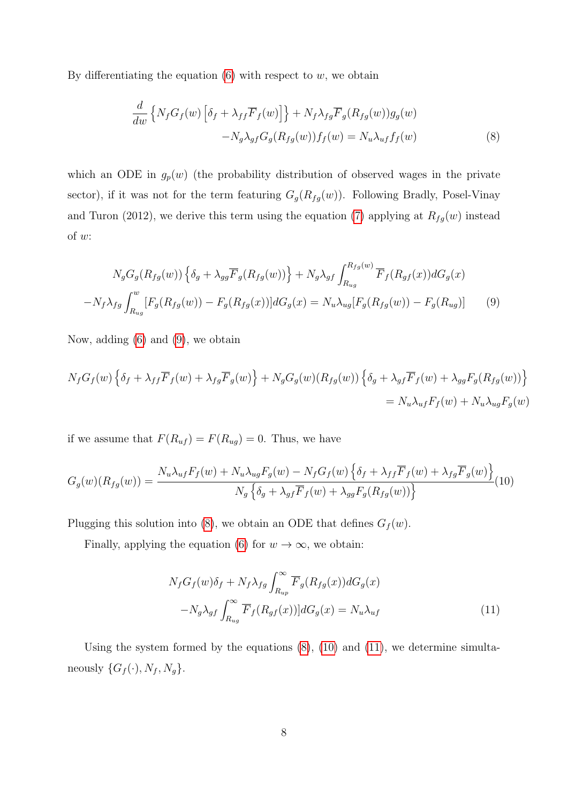By differentiating the equation  $(6)$  with respect to w, we obtain

<span id="page-7-1"></span>
$$
\frac{d}{dw} \left\{ N_f G_f(w) \left[ \delta_f + \lambda_{ff} \overline{F}_f(w) \right] \right\} + N_f \lambda_{fg} \overline{F}_g(R_{fg}(w)) g_g(w) \n- N_g \lambda_{gf} G_g(R_{fg}(w)) f_f(w) = N_u \lambda_{uf} f_f(w)
$$
\n(8)

which an ODE in  $g_p(w)$  (the probability distribution of observed wages in the private sector), if it was not for the term featuring  $G_g(R_{fg}(w))$ . Following Bradly, Posel-Vinay and Turon (2012), we derive this term using the equation [\(7\)](#page-6-1) applying at  $R_{fg}(w)$  instead of  $w$ :

<span id="page-7-0"></span>
$$
N_g G_g(R_{fg}(w)) \left\{ \delta_g + \lambda_{gg} \overline{F}_g(R_{fg}(w)) \right\} + N_g \lambda_{gf} \int_{R_{ug}}^{R_{fg}(w)} \overline{F}_f(R_{gf}(x)) dG_g(x)
$$

$$
-N_f \lambda_{fg} \int_{R_{ug}}^w [F_g(R_{fg}(w)) - F_g(R_{fg}(x))] dG_g(x) = N_u \lambda_{ug} [F_g(R_{fg}(w)) - F_g(R_{ug})] \tag{9}
$$

Now, adding [\(6\)](#page-6-0) and [\(9\)](#page-7-0), we obtain

$$
N_f G_f(w) \left\{ \delta_f + \lambda_{ff} \overline{F}_f(w) + \lambda_{fg} \overline{F}_g(w) \right\} + N_g G_g(w) (R_{fg}(w)) \left\{ \delta_g + \lambda_{gf} \overline{F}_f(w) + \lambda_{gg} F_g(R_{fg}(w)) \right\}
$$
  
=  $N_u \lambda_{uf} F_f(w) + N_u \lambda_{ug} F_g(w)$ 

if we assume that  $F(R_{uf}) = F(R_{ug}) = 0$ . Thus, we have

<span id="page-7-2"></span>
$$
G_g(w)(R_{fg}(w)) = \frac{N_u \lambda_{uf} F_f(w) + N_u \lambda_{ug} F_g(w) - N_f G_f(w) \left\{ \delta_f + \lambda_{ff} \overline{F}_f(w) + \lambda_{fg} \overline{F}_g(w) \right\}}{N_g \left\{ \delta_g + \lambda_{gf} \overline{F}_f(w) + \lambda_{gg} F_g(R_{fg}(w)) \right\}} (10)
$$

Plugging this solution into [\(8\)](#page-7-1), we obtain an ODE that defines  $G_f(w)$ .

Finally, applying the equation [\(6\)](#page-6-0) for  $w \to \infty$ , we obtain:

<span id="page-7-3"></span>
$$
N_f G_f(w) \delta_f + N_f \lambda_{fg} \int_{R_{up}}^{\infty} \overline{F}_g(R_{fg}(x)) dG_g(x)
$$

$$
-N_g \lambda_{gf} \int_{R_{ug}}^{\infty} \overline{F}_f(R_{gf}(x)) dG_g(x) = N_u \lambda_{uf}
$$
(11)

Using the system formed by the equations  $(8)$ ,  $(10)$  and  $(11)$ , we determine simultaneously  $\{G_f(\cdot), N_f, N_g\}.$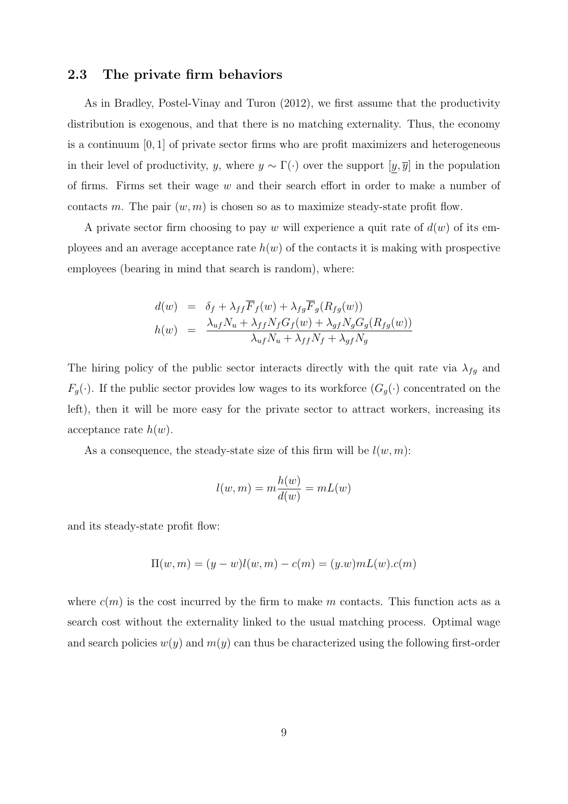## 2.3 The private firm behaviors

As in Bradley, Postel-Vinay and Turon (2012), we first assume that the productivity distribution is exogenous, and that there is no matching externality. Thus, the economy is a continuum  $[0, 1]$  of private sector firms who are profit maximizers and heterogeneous in their level of productivity, y, where  $y \sim \Gamma(\cdot)$  over the support  $[y, \overline{y}]$  in the population of firms. Firms set their wage  $w$  and their search effort in order to make a number of contacts m. The pair  $(w, m)$  is chosen so as to maximize steady-state profit flow.

A private sector firm choosing to pay w will experience a quit rate of  $d(w)$  of its employees and an average acceptance rate  $h(w)$  of the contacts it is making with prospective employees (bearing in mind that search is random), where:

$$
d(w) = \delta_f + \lambda_{ff} \overline{F}_f(w) + \lambda_{fg} \overline{F}_g(R_{fg}(w))
$$
  
\n
$$
h(w) = \frac{\lambda_{uf} N_u + \lambda_{ff} N_f G_f(w) + \lambda_{gf} N_g G_g(R_{fg}(w))}{\lambda_{uf} N_u + \lambda_{ff} N_f + \lambda_{gf} N_g}
$$

The hiring policy of the public sector interacts directly with the quit rate via  $\lambda_{fg}$  and  $F_g(\cdot)$ . If the public sector provides low wages to its workforce  $(G_g(\cdot))$  concentrated on the left), then it will be more easy for the private sector to attract workers, increasing its acceptance rate  $h(w)$ .

As a consequence, the steady-state size of this firm will be  $l(w, m)$ :

$$
l(w, m) = m \frac{h(w)}{d(w)} = mL(w)
$$

and its steady-state profit flow:

$$
\Pi(w, m) = (y - w)l(w, m) - c(m) = (y.w) m L(w).c(m)
$$

where  $c(m)$  is the cost incurred by the firm to make m contacts. This function acts as a search cost without the externality linked to the usual matching process. Optimal wage and search policies  $w(y)$  and  $m(y)$  can thus be characterized using the following first-order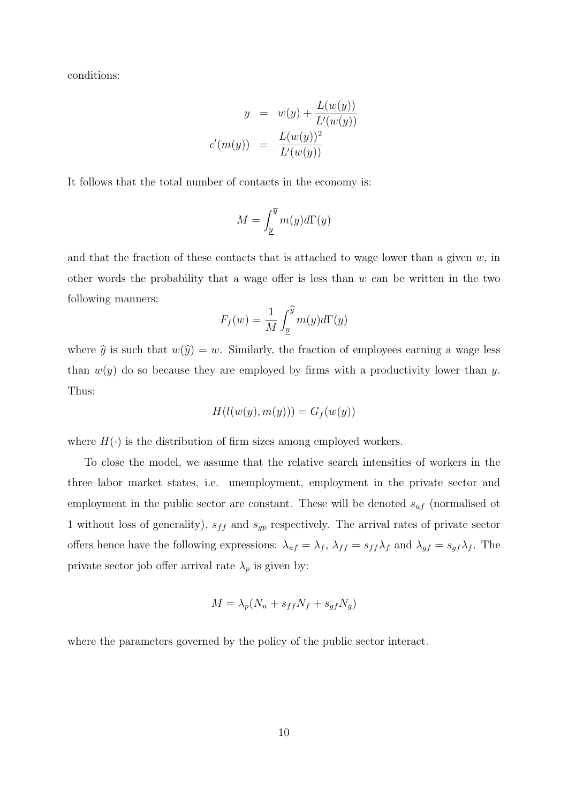conditions:

$$
y = w(y) + \frac{L(w(y))}{L'(w(y))}
$$

$$
c'(m(y)) = \frac{L(w(y))^2}{L'(w(y))}
$$

It follows that the total number of contacts in the economy is:

$$
M = \int_{\underline{y}}^{\overline{y}} m(y) d\Gamma(y)
$$

and that the fraction of these contacts that is attached to wage lower than a given  $w$ , in other words the probability that a wage offer is less than  $w$  can be written in the two following manners:

$$
F_f(w) = \frac{1}{M} \int_{\underline{y}}^{\widehat{y}} m(y) d\Gamma(y)
$$

where  $\hat{y}$  is such that  $w(\hat{y}) = w$ . Similarly, the fraction of employees earning a wage less than  $w(y)$  do so because they are employed by firms with a productivity lower than y. Thus:

$$
H(l(w(y), m(y))) = G_f(w(y))
$$

where  $H(\cdot)$  is the distribution of firm sizes among employed workers.

To close the model, we assume that the relative search intensities of workers in the three labor market states, i.e. unemployment, employment in the private sector and employment in the public sector are constant. These will be denoted  $s_{uf}$  (normalised ot 1 without loss of generality),  $s_{ff}$  and  $s_{gp}$  respectively. The arrival rates of private sector offers hence have the following expressions:  $\lambda_{uf} = \lambda_f$ ,  $\lambda_{ff} = s_{ff}\lambda_f$  and  $\lambda_{gf} = s_{gf}\lambda_f$ . The private sector job offer arrival rate  $\lambda_p$  is given by:

$$
M = \lambda_p (N_u + s_{ff} N_f + s_{gf} N_g)
$$

where the parameters governed by the policy of the public sector interact.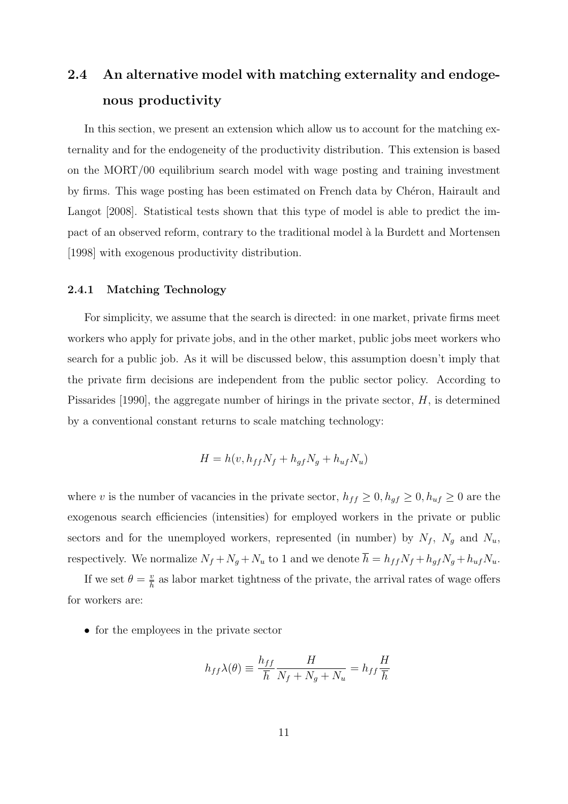## 2.4 An alternative model with matching externality and endogenous productivity

In this section, we present an extension which allow us to account for the matching externality and for the endogeneity of the productivity distribution. This extension is based on the MORT/00 equilibrium search model with wage posting and training investment by firms. This wage posting has been estimated on French data by Chéron, Hairault and Langot [2008]. Statistical tests shown that this type of model is able to predict the impact of an observed reform, contrary to the traditional model à la Burdett and Mortensen [1998] with exogenous productivity distribution.

#### 2.4.1 Matching Technology

For simplicity, we assume that the search is directed: in one market, private firms meet workers who apply for private jobs, and in the other market, public jobs meet workers who search for a public job. As it will be discussed below, this assumption doesn't imply that the private firm decisions are independent from the public sector policy. According to Pissarides [1990], the aggregate number of hirings in the private sector,  $H$ , is determined by a conventional constant returns to scale matching technology:

$$
H = h(v, h_{ff}N_f + h_{gf}N_g + h_{uf}N_u)
$$

where v is the number of vacancies in the private sector,  $h_{ff} \geq 0$ ,  $h_{gf} \geq 0$ ,  $h_{uf} \geq 0$  are the exogenous search efficiencies (intensities) for employed workers in the private or public sectors and for the unemployed workers, represented (in number) by  $N_f$ ,  $N_g$  and  $N_u$ , respectively. We normalize  $N_f + N_g + N_u$  to 1 and we denote  $\overline{h} = h_{ff}N_f + h_{gf}N_g + h_{uf}N_u$ .

If we set  $\theta = \frac{v}{h}$  $\frac{v}{h}$  as labor market tightness of the private, the arrival rates of wage offers for workers are:

• for the employees in the private sector

$$
h_{ff}\lambda(\theta) \equiv \frac{h_{ff}}{\overline{h}} \frac{H}{N_f + N_g + N_u} = h_{ff} \frac{H}{\overline{h}}
$$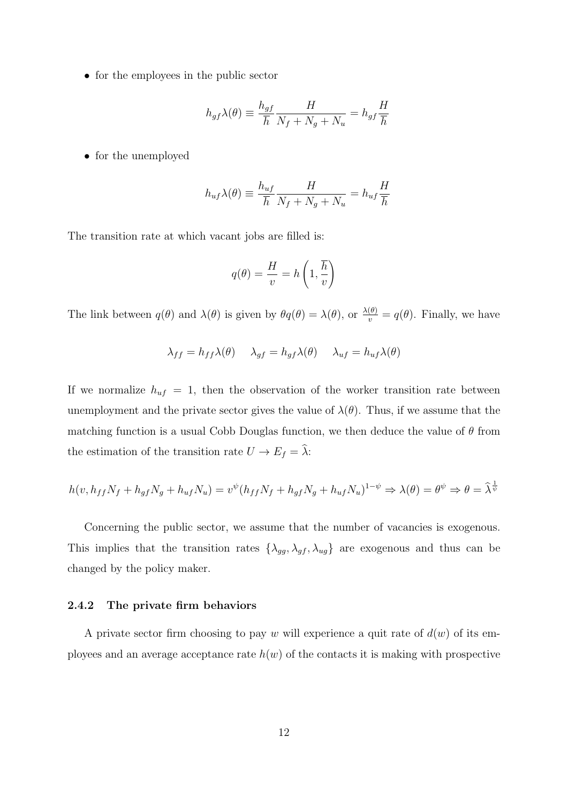• for the employees in the public sector

$$
h_{gf}\lambda(\theta) \equiv \frac{h_{gf}}{\overline{h}} \frac{H}{N_f + N_g + N_u} = h_{gf} \frac{H}{\overline{h}}
$$

• for the unemployed

$$
h_{uf}\lambda(\theta) \equiv \frac{h_{uf}}{\overline{h}} \frac{H}{N_f + N_g + N_u} = h_{uf} \frac{H}{\overline{h}}
$$

The transition rate at which vacant jobs are filled is:

$$
q(\theta) = \frac{H}{v} = h\left(1, \frac{\overline{h}}{v}\right)
$$

The link between  $q(\theta)$  and  $\lambda(\theta)$  is given by  $\theta q(\theta) = \lambda(\theta)$ , or  $\frac{\lambda(\theta)}{v} = q(\theta)$ . Finally, we have

$$
\lambda_{ff} = h_{ff} \lambda(\theta) \quad \lambda_{gf} = h_{gf} \lambda(\theta) \quad \lambda_{uf} = h_{uf} \lambda(\theta)
$$

If we normalize  $h_{uf} = 1$ , then the observation of the worker transition rate between unemployment and the private sector gives the value of  $\lambda(\theta)$ . Thus, if we assume that the matching function is a usual Cobb Douglas function, we then deduce the value of  $\theta$  from the estimation of the transition rate  $U \to E_f = \hat{\lambda}$ :

$$
h(v, h_{ff}N_f + h_{gf}N_g + h_{uf}N_u) = v^{\psi}(h_{ff}N_f + h_{gf}N_g + h_{uf}N_u)^{1-\psi} \Rightarrow \lambda(\theta) = \theta^{\psi} \Rightarrow \theta = \hat{\lambda}^{\frac{1}{\psi}}
$$

Concerning the public sector, we assume that the number of vacancies is exogenous. This implies that the transition rates  $\{\lambda_{gg}, \lambda_{gf}, \lambda_{ug}\}$  are exogenous and thus can be changed by the policy maker.

#### 2.4.2 The private firm behaviors

A private sector firm choosing to pay w will experience a quit rate of  $d(w)$  of its employees and an average acceptance rate  $h(w)$  of the contacts it is making with prospective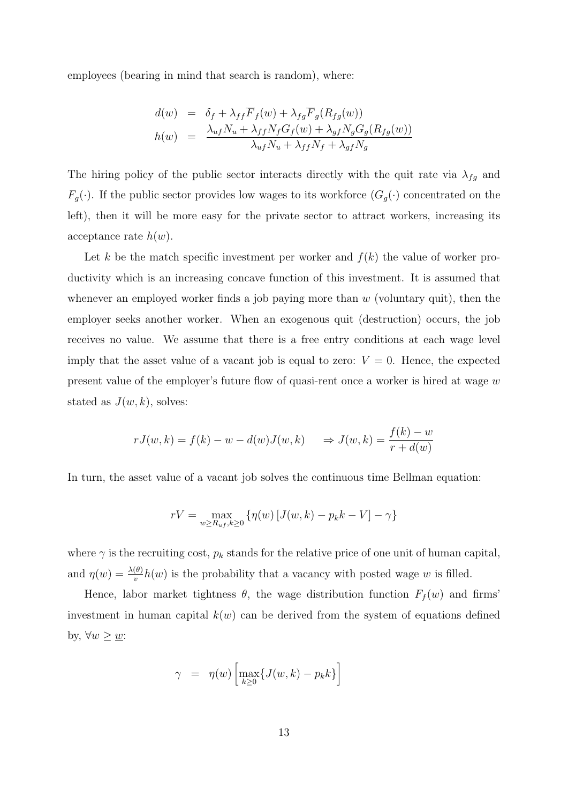employees (bearing in mind that search is random), where:

$$
d(w) = \delta_f + \lambda_{ff} \overline{F}_f(w) + \lambda_{fg} \overline{F}_g(R_{fg}(w))
$$
  
\n
$$
h(w) = \frac{\lambda_{uf} N_u + \lambda_{ff} N_f G_f(w) + \lambda_{gf} N_g G_g(R_{fg}(w))}{\lambda_{uf} N_u + \lambda_{ff} N_f + \lambda_{gf} N_g}
$$

The hiring policy of the public sector interacts directly with the quit rate via  $\lambda_{fg}$  and  $F_g(\cdot)$ . If the public sector provides low wages to its workforce  $(G_g(\cdot))$  concentrated on the left), then it will be more easy for the private sector to attract workers, increasing its acceptance rate  $h(w)$ .

Let k be the match specific investment per worker and  $f(k)$  the value of worker productivity which is an increasing concave function of this investment. It is assumed that whenever an employed worker finds a job paying more than  $w$  (voluntary quit), then the employer seeks another worker. When an exogenous quit (destruction) occurs, the job receives no value. We assume that there is a free entry conditions at each wage level imply that the asset value of a vacant job is equal to zero:  $V = 0$ . Hence, the expected present value of the employer's future flow of quasi-rent once a worker is hired at wage w stated as  $J(w, k)$ , solves:

$$
rJ(w,k) = f(k) - w - d(w)J(w,k) \quad \Rightarrow J(w,k) = \frac{f(k) - w}{r + d(w)}
$$

In turn, the asset value of a vacant job solves the continuous time Bellman equation:

$$
rV = \max_{w \ge R_{uf}, k \ge 0} \left\{ \eta(w) \left[ J(w, k) - p_k k - V \right] - \gamma \right\}
$$

where  $\gamma$  is the recruiting cost,  $p_k$  stands for the relative price of one unit of human capital, and  $\eta(w) = \frac{\lambda(\theta)}{v} h(w)$  is the probability that a vacancy with posted wage w is filled.

Hence, labor market tightness  $\theta$ , the wage distribution function  $F_f(w)$  and firms' investment in human capital  $k(w)$  can be derived from the system of equations defined by,  $\forall w \geq \underline{w}$ :

$$
\gamma = \eta(w) \left[ \max_{k \ge 0} \{ J(w, k) - p_k k \} \right]
$$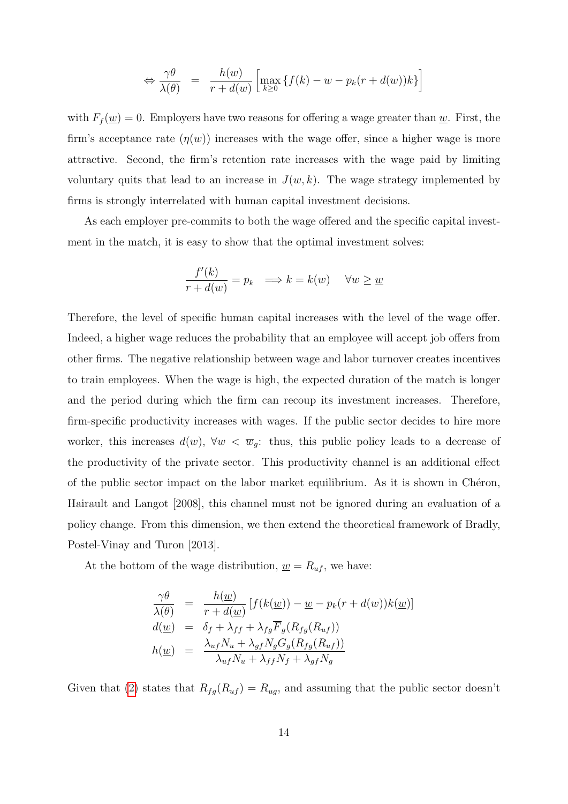$$
\Leftrightarrow \frac{\gamma \theta}{\lambda(\theta)} = \frac{h(w)}{r + d(w)} \left[ \max_{k \ge 0} \left\{ f(k) - w - p_k(r + d(w))k \right\} \right]
$$

with  $F_f(\underline{w}) = 0$ . Employers have two reasons for offering a wage greater than  $\underline{w}$ . First, the firm's acceptance rate  $(\eta(w))$  increases with the wage offer, since a higher wage is more attractive. Second, the firm's retention rate increases with the wage paid by limiting voluntary quits that lead to an increase in  $J(w, k)$ . The wage strategy implemented by firms is strongly interrelated with human capital investment decisions.

As each employer pre-commits to both the wage offered and the specific capital investment in the match, it is easy to show that the optimal investment solves:

$$
\frac{f'(k)}{r + d(w)} = p_k \implies k = k(w) \quad \forall w \ge \underline{w}
$$

Therefore, the level of specific human capital increases with the level of the wage offer. Indeed, a higher wage reduces the probability that an employee will accept job offers from other firms. The negative relationship between wage and labor turnover creates incentives to train employees. When the wage is high, the expected duration of the match is longer and the period during which the firm can recoup its investment increases. Therefore, firm-specific productivity increases with wages. If the public sector decides to hire more worker, this increases  $d(w)$ ,  $\forall w < \overline{w}_g$ : thus, this public policy leads to a decrease of the productivity of the private sector. This productivity channel is an additional effect of the public sector impact on the labor market equilibrium. As it is shown in Chéron, Hairault and Langot [2008], this channel must not be ignored during an evaluation of a policy change. From this dimension, we then extend the theoretical framework of Bradly, Postel-Vinay and Turon [2013].

At the bottom of the wage distribution,  $\underline{w} = R_{uf}$ , we have:

$$
\frac{\gamma \theta}{\lambda(\theta)} = \frac{h(\underline{w})}{r + d(\underline{w})} [f(k(\underline{w})) - \underline{w} - p_k(r + d(w))k(\underline{w})]
$$
  
\n
$$
\frac{d(\underline{w})}{dt} = \delta_f + \lambda_{ff} + \lambda_{fg} \overline{F}_g(R_{fg}(R_{uf}))
$$
  
\n
$$
h(\underline{w}) = \frac{\lambda_{uf} N_u + \lambda_{gf} N_g G_g(R_{fg}(R_{uf}))}{\lambda_{uf} N_u + \lambda_{ff} N_f + \lambda_{gf} N_g}
$$

Given that [\(2\)](#page-4-1) states that  $R_{fg}(R_{uf}) = R_{ug}$ , and assuming that the public sector doesn't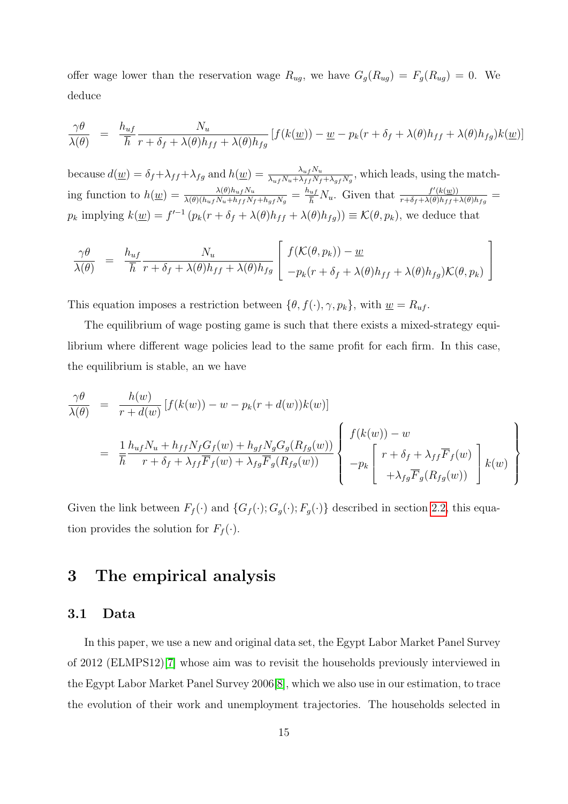offer wage lower than the reservation wage  $R_{ug}$ , we have  $G_g(R_{ug}) = F_g(R_{ug}) = 0$ . We deduce

$$
\frac{\gamma \theta}{\lambda(\theta)} = \frac{h_{uf}}{\overline{h}} \frac{N_u}{r + \delta_f + \lambda(\theta)h_{ff} + \lambda(\theta)h_{fg}} \left[ f(k(\underline{w})) - \underline{w} - p_k(r + \delta_f + \lambda(\theta)h_{ff} + \lambda(\theta)h_{fg})k(\underline{w}) \right]
$$

because  $d(\underline{w}) = \delta_f + \lambda_{ff} + \lambda_{fg}$  and  $h(\underline{w}) = \frac{\lambda_{uf} N_u}{\lambda_{uf} N_u + \lambda_{ff} N_f + \lambda_{gf} N_g}$ , which leads, using the matching function to  $h(\underline{w}) = \frac{\lambda(\theta)h_{uf}N_u}{\lambda(\theta)(h_{uf}N_u + h_{ff}N_f + h_{gf}N_g)} = \frac{h_{uf}}{\overline{h}}$  $\frac{df}{\hbar} N_u$ . Given that  $\frac{f'(k(\underline{w}))}{r + \delta_f + \lambda(\theta)h_{ff} + \lambda(\theta)}$  $\frac{f'(\kappa(\underline{w}))}{r+\delta_f+\lambda(\theta)h_{ff}+\lambda(\theta)h_{fg}}=$  $p_k$  implying  $k(\underline{w}) = f'^{-1} (p_k(r + \delta_f + \lambda(\theta)h_{ff} + \lambda(\theta)h_{fg})) \equiv \mathcal{K}(\theta, p_k)$ , we deduce that

$$
\frac{\gamma \theta}{\lambda(\theta)} = \frac{h_{uf}}{\overline{h}} \frac{N_u}{r + \delta_f + \lambda(\theta)h_{ff} + \lambda(\theta)h_{fg}} \left[ \frac{f(\mathcal{K}(\theta, p_k)) - \underline{w}}{-p_k(r + \delta_f + \lambda(\theta)h_{ff} + \lambda(\theta)h_{fg})\mathcal{K}(\theta, p_k)} \right]
$$

This equation imposes a restriction between  $\{\theta, f(\cdot), \gamma, p_k\}$ , with  $\underline{w} = R_{uf}$ .

The equilibrium of wage posting game is such that there exists a mixed-strategy equilibrium where different wage policies lead to the same profit for each firm. In this case, the equilibrium is stable, an we have

$$
\frac{\gamma\theta}{\lambda(\theta)} = \frac{h(w)}{r + d(w)} \left[ f(k(w)) - w - p_k(r + d(w))k(w) \right]
$$
\n
$$
= \frac{1}{\overline{h}} \frac{h_{uf}N_u + h_{ff}N_fG_f(w) + h_{gf}N_gG_g(R_{fg}(w))}{r + \delta_f + \lambda_{ff}\overline{F}_f(w) + \lambda_{fg}\overline{F}_g(R_{fg}(w))} \left\{ \begin{array}{l} f(k(w)) - w \\ -p_k \left[ \begin{array}{l} r + \delta_f + \lambda_{ff}\overline{F}_f(w) \\ + \lambda_{fg}\overline{F}_g(R_{fg}(w)) \end{array} \right] k(w) \end{array} \right\}
$$

Given the link between  $F_f(\cdot)$  and  $\{G_f(\cdot); G_g(\cdot); F_g(\cdot)\}\)$  described in section [2.2,](#page-6-2) this equation provides the solution for  $F_f(\cdot)$ .

## 3 The empirical analysis

#### 3.1 Data

In this paper, we use a new and original data set, the Egypt Labor Market Panel Survey of 2012 (ELMPS12)[\[7\]](#page-25-3) whose aim was to revisit the households previously interviewed in the Egypt Labor Market Panel Survey 2006[\[8\]](#page-25-2), which we also use in our estimation, to trace the evolution of their work and unemployment trajectories. The households selected in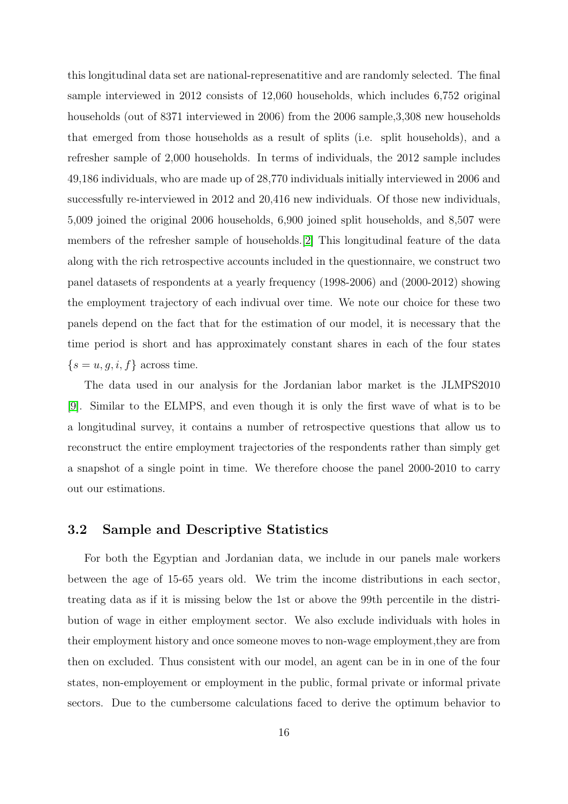this longitudinal data set are national-represenatitive and are randomly selected. The final sample interviewed in 2012 consists of 12,060 households, which includes 6,752 original households (out of 8371 interviewed in 2006) from the 2006 sample, 3,308 new households that emerged from those households as a result of splits (i.e. split households), and a refresher sample of 2,000 households. In terms of individuals, the 2012 sample includes 49,186 individuals, who are made up of 28,770 individuals initially interviewed in 2006 and successfully re-interviewed in 2012 and 20,416 new individuals. Of those new individuals, 5,009 joined the original 2006 households, 6,900 joined split households, and 8,507 were members of the refresher sample of households.[\[2\]](#page-24-4) This longitudinal feature of the data along with the rich retrospective accounts included in the questionnaire, we construct two panel datasets of respondents at a yearly frequency (1998-2006) and (2000-2012) showing the employment trajectory of each indivual over time. We note our choice for these two panels depend on the fact that for the estimation of our model, it is necessary that the time period is short and has approximately constant shares in each of the four states  $\{s=u, g, i, f\}$  across time.

The data used in our analysis for the Jordanian labor market is the JLMPS2010 [\[9\]](#page-25-4). Similar to the ELMPS, and even though it is only the first wave of what is to be a longitudinal survey, it contains a number of retrospective questions that allow us to reconstruct the entire employment trajectories of the respondents rather than simply get a snapshot of a single point in time. We therefore choose the panel 2000-2010 to carry out our estimations.

### 3.2 Sample and Descriptive Statistics

For both the Egyptian and Jordanian data, we include in our panels male workers between the age of 15-65 years old. We trim the income distributions in each sector, treating data as if it is missing below the 1st or above the 99th percentile in the distribution of wage in either employment sector. We also exclude individuals with holes in their employment history and once someone moves to non-wage employment,they are from then on excluded. Thus consistent with our model, an agent can be in in one of the four states, non-employement or employment in the public, formal private or informal private sectors. Due to the cumbersome calculations faced to derive the optimum behavior to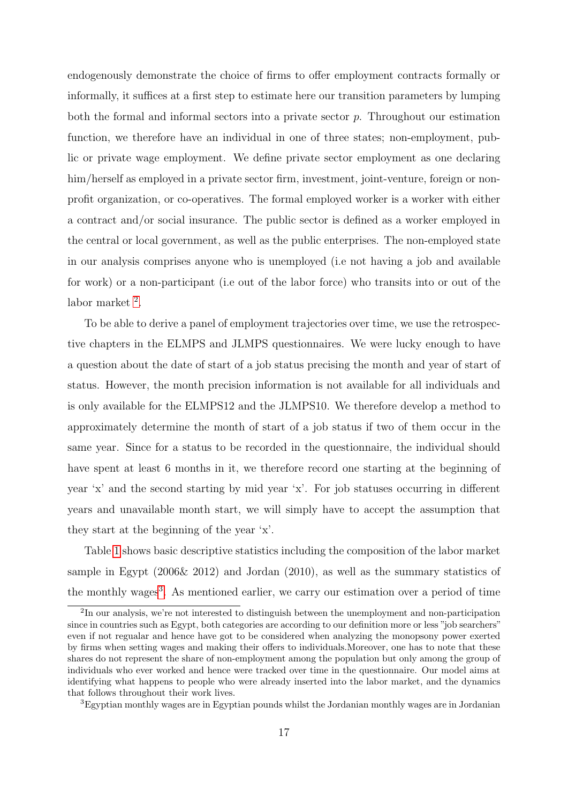endogenously demonstrate the choice of firms to offer employment contracts formally or informally, it suffices at a first step to estimate here our transition parameters by lumping both the formal and informal sectors into a private sector  $p$ . Throughout our estimation function, we therefore have an individual in one of three states; non-employment, public or private wage employment. We define private sector employment as one declaring him/herself as employed in a private sector firm, investment, joint-venture, foreign or nonprofit organization, or co-operatives. The formal employed worker is a worker with either a contract and/or social insurance. The public sector is defined as a worker employed in the central or local government, as well as the public enterprises. The non-employed state in our analysis comprises anyone who is unemployed (i.e not having a job and available for work) or a non-participant (i.e out of the labor force) who transits into or out of the labor market <sup>[2](#page-16-0)</sup>.

To be able to derive a panel of employment trajectories over time, we use the retrospective chapters in the ELMPS and JLMPS questionnaires. We were lucky enough to have a question about the date of start of a job status precising the month and year of start of status. However, the month precision information is not available for all individuals and is only available for the ELMPS12 and the JLMPS10. We therefore develop a method to approximately determine the month of start of a job status if two of them occur in the same year. Since for a status to be recorded in the questionnaire, the individual should have spent at least 6 months in it, we therefore record one starting at the beginning of year 'x' and the second starting by mid year 'x'. For job statuses occurring in different years and unavailable month start, we will simply have to accept the assumption that they start at the beginning of the year 'x'.

Table [1](#page-18-0) shows basic descriptive statistics including the composition of the labor market sample in Egypt (2006& 2012) and Jordan (2010), as well as the summary statistics of the monthly wages<sup>[3](#page-16-1)</sup>. As mentioned earlier, we carry our estimation over a period of time

<span id="page-16-0"></span><sup>&</sup>lt;sup>2</sup>In our analysis, we're not interested to distinguish between the unemployment and non-participation since in countries such as Egypt, both categories are according to our definition more or less "job searchers" even if not regualar and hence have got to be considered when analyzing the monopsony power exerted by firms when setting wages and making their offers to individuals.Moreover, one has to note that these shares do not represent the share of non-employment among the population but only among the group of individuals who ever worked and hence were tracked over time in the questionnaire. Our model aims at identifying what happens to people who were already inserted into the labor market, and the dynamics that follows throughout their work lives.

<span id="page-16-1"></span><sup>3</sup>Egyptian monthly wages are in Egyptian pounds whilst the Jordanian monthly wages are in Jordanian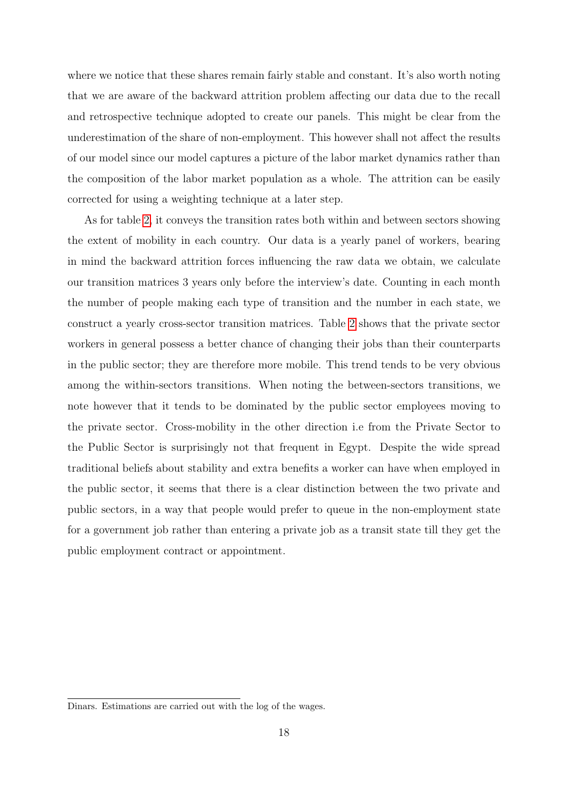where we notice that these shares remain fairly stable and constant. It's also worth noting that we are aware of the backward attrition problem affecting our data due to the recall and retrospective technique adopted to create our panels. This might be clear from the underestimation of the share of non-employment. This however shall not affect the results of our model since our model captures a picture of the labor market dynamics rather than the composition of the labor market population as a whole. The attrition can be easily corrected for using a weighting technique at a later step.

As for table [2,](#page-19-0) it conveys the transition rates both within and between sectors showing the extent of mobility in each country. Our data is a yearly panel of workers, bearing in mind the backward attrition forces influencing the raw data we obtain, we calculate our transition matrices 3 years only before the interview's date. Counting in each month the number of people making each type of transition and the number in each state, we construct a yearly cross-sector transition matrices. Table [2](#page-19-0) shows that the private sector workers in general possess a better chance of changing their jobs than their counterparts in the public sector; they are therefore more mobile. This trend tends to be very obvious among the within-sectors transitions. When noting the between-sectors transitions, we note however that it tends to be dominated by the public sector employees moving to the private sector. Cross-mobility in the other direction i.e from the Private Sector to the Public Sector is surprisingly not that frequent in Egypt. Despite the wide spread traditional beliefs about stability and extra benefits a worker can have when employed in the public sector, it seems that there is a clear distinction between the two private and public sectors, in a way that people would prefer to queue in the non-employment state for a government job rather than entering a private job as a transit state till they get the public employment contract or appointment.

Dinars. Estimations are carried out with the log of the wages.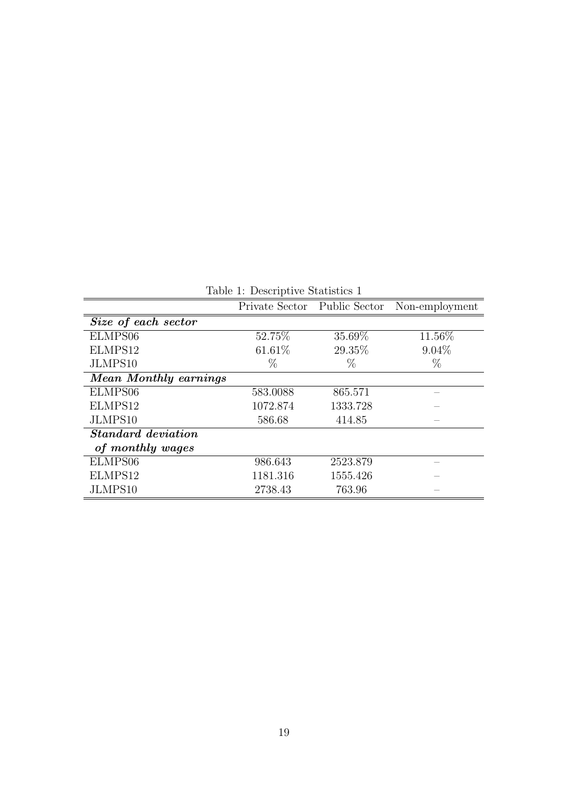| Table 1: Descriptive Statistics 1 |                              |          |                |  |  |
|-----------------------------------|------------------------------|----------|----------------|--|--|
|                                   | Private Sector Public Sector |          | Non-employment |  |  |
| Size of each sector               |                              |          |                |  |  |
| ELMPS06                           | 52.75%                       | 35.69%   | 11.56%         |  |  |
| ELMPS12                           | 61.61\%                      | 29.35%   | $9.04\%$       |  |  |
| JLMPS10                           | $\%$                         | %        | $\%$           |  |  |
| Mean Monthly earnings             |                              |          |                |  |  |
| ELMPS06                           | 583.0088                     | 865.571  |                |  |  |
| ELMPS12                           | 1072.874                     | 1333.728 |                |  |  |
| JLMPS10                           | 586.68                       | 414.85   |                |  |  |
| <b>Standard deviation</b>         |                              |          |                |  |  |
| of monthly wages                  |                              |          |                |  |  |
| ELMPS06                           | 986.643                      | 2523.879 |                |  |  |
| ELMPS12                           | 1181.316                     | 1555.426 |                |  |  |
| JLMPS10                           | 2738.43                      | 763.96   |                |  |  |

<span id="page-18-0"></span>Table 1: Descriptive Statistics 1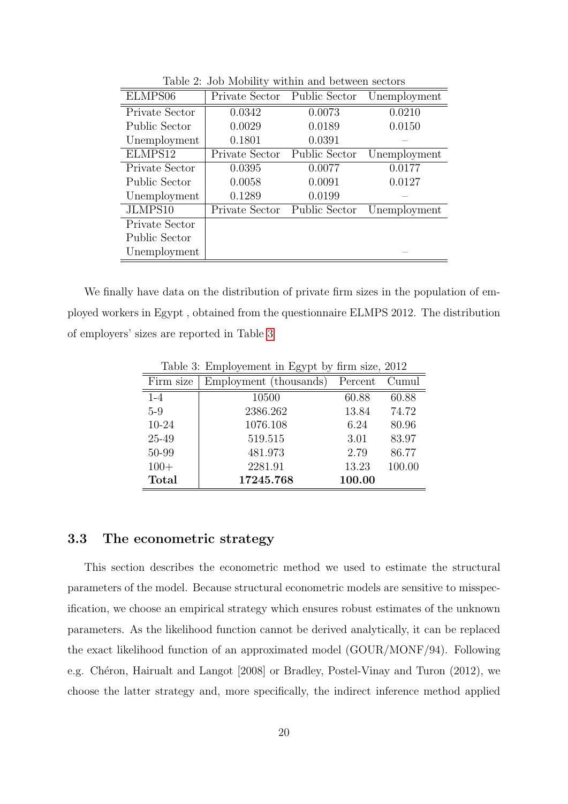| ELMPS06                        | Private Sector | Public Sector        | Unemployment |  |
|--------------------------------|----------------|----------------------|--------------|--|
| 0.0342<br>Private Sector       |                | 0.0073               | 0.0210       |  |
| 0.0029<br><b>Public Sector</b> |                | 0.0189               | 0.0150       |  |
| Unemployment                   | 0.1801         | 0.0391               |              |  |
| ELMPS12                        | Private Sector | <b>Public Sector</b> | Unemployment |  |
| Private Sector                 | 0.0395         | 0.0077               | 0.0177       |  |
| 0.0058<br><b>Public Sector</b> |                | 0.0091               | 0.0127       |  |
| Unemployment                   | 0.1289         | 0.0199               |              |  |
| JLMPS10<br>Private Sector      |                | Public Sector        | Unemployment |  |
| Private Sector                 |                |                      |              |  |
| <b>Public Sector</b>           |                |                      |              |  |
| Unemployment                   |                |                      |              |  |

<span id="page-19-0"></span>Table 2: Job Mobility within and between sectors

We finally have data on the distribution of private firm sizes in the population of employed workers in Egypt , obtained from the questionnaire ELMPS 2012. The distribution of employers' sizes are reported in Table [3](#page-19-1)

| Lable 5. Employement in Egypt by mini size, 2012 |                        |         |        |  |  |
|--------------------------------------------------|------------------------|---------|--------|--|--|
| Firm size                                        | Employment (thousands) | Percent | Cumul  |  |  |
| $1 - 4$                                          | 10500                  | 60.88   | 60.88  |  |  |
| $5-9$                                            | 2386.262               | 13.84   | 74.72  |  |  |
| $10-24$                                          | 1076.108               | 6.24    | 80.96  |  |  |
| 25-49                                            | 519.515                | 3.01    | 83.97  |  |  |
| 50-99                                            | 481.973                | 2.79    | 86.77  |  |  |
| $100+$                                           | 2281.91                | 13.23   | 100.00 |  |  |
| <b>Total</b>                                     | 17245.768              | 100.00  |        |  |  |

<span id="page-19-1"></span>Table 3: Employement in Egypt by firm size, 2012

### 3.3 The econometric strategy

This section describes the econometric method we used to estimate the structural parameters of the model. Because structural econometric models are sensitive to misspecification, we choose an empirical strategy which ensures robust estimates of the unknown parameters. As the likelihood function cannot be derived analytically, it can be replaced the exact likelihood function of an approximated model (GOUR/MONF/94). Following e.g. Chéron, Hairualt and Langot [2008] or Bradley, Postel-Vinay and Turon (2012), we choose the latter strategy and, more specifically, the indirect inference method applied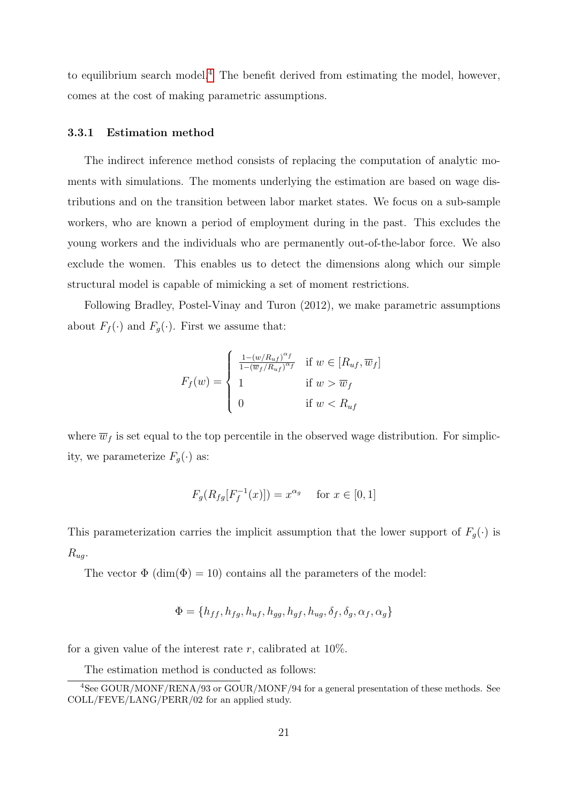to equilibrium search model.<sup>[4](#page-20-0)</sup> The benefit derived from estimating the model, however, comes at the cost of making parametric assumptions.

#### 3.3.1 Estimation method

The indirect inference method consists of replacing the computation of analytic moments with simulations. The moments underlying the estimation are based on wage distributions and on the transition between labor market states. We focus on a sub-sample workers, who are known a period of employment during in the past. This excludes the young workers and the individuals who are permanently out-of-the-labor force. We also exclude the women. This enables us to detect the dimensions along which our simple structural model is capable of mimicking a set of moment restrictions.

Following Bradley, Postel-Vinay and Turon (2012), we make parametric assumptions about  $F_f(\cdot)$  and  $F_g(\cdot)$ . First we assume that:

$$
F_f(w) = \begin{cases} \frac{1 - (w/R_{uf})^{\alpha_f}}{1 - (\overline{w}_f/R_{uf})^{\alpha_f}} & \text{if } w \in [R_{uf}, \overline{w}_f] \\ 1 & \text{if } w > \overline{w}_f \\ 0 & \text{if } w < R_{uf} \end{cases}
$$

where  $\overline{w}_f$  is set equal to the top percentile in the observed wage distribution. For simplicity, we parameterize  $F_g(\cdot)$  as:

$$
F_g(R_{fg}[F_f^{-1}(x)]) = x^{\alpha_g}
$$
 for  $x \in [0, 1]$ 

This parameterization carries the implicit assumption that the lower support of  $F_g(\cdot)$  is  $R_{uq}$ .

The vector  $\Phi$  (dim( $\Phi$ ) = 10) contains all the parameters of the model:

$$
\Phi = \{h_{ff}, h_{fg}, h_{uf}, h_{gg}, h_{gf}, h_{ug}, \delta_f, \delta_g, \alpha_f, \alpha_g\}
$$

for a given value of the interest rate  $r$ , calibrated at  $10\%$ .

<span id="page-20-0"></span>The estimation method is conducted as follows:

<sup>4</sup>See GOUR/MONF/RENA/93 or GOUR/MONF/94 for a general presentation of these methods. See COLL/FEVE/LANG/PERR/02 for an applied study.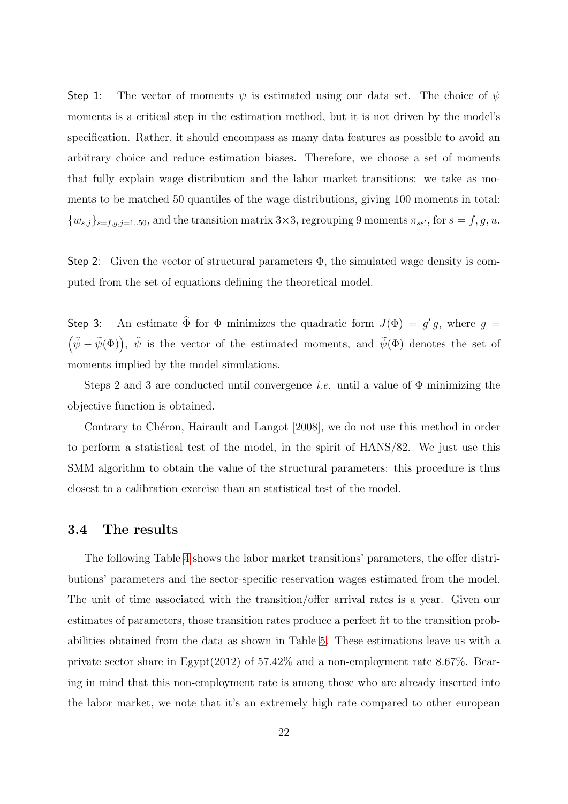Step 1: The vector of moments  $\psi$  is estimated using our data set. The choice of  $\psi$ moments is a critical step in the estimation method, but it is not driven by the model's specification. Rather, it should encompass as many data features as possible to avoid an arbitrary choice and reduce estimation biases. Therefore, we choose a set of moments that fully explain wage distribution and the labor market transitions: we take as moments to be matched 50 quantiles of the wage distributions, giving 100 moments in total:  $\{w_{s,j}\}_{s=f,g,j=1..50}$ , and the transition matrix 3×3, regrouping 9 moments  $\pi_{ss'}$ , for  $s=f,g,u$ .

Step 2: Given the vector of structural parameters  $\Phi$ , the simulated wage density is computed from the set of equations defining the theoretical model.

Step 3: An estimate  $\widehat{\Phi}$  for  $\Phi$  minimizes the quadratic form  $J(\Phi) = g'g$ , where  $g =$  $(\widehat{\psi} - \widetilde{\psi}(\Phi))$ ,  $\widehat{\psi}$  is the vector of the estimated moments, and  $\widetilde{\psi}(\Phi)$  denotes the set of moments implied by the model simulations.

Steps 2 and 3 are conducted until convergence *i.e.* until a value of  $\Phi$  minimizing the objective function is obtained.

Contrary to Chéron, Hairault and Langot [2008], we do not use this method in order to perform a statistical test of the model, in the spirit of HANS/82. We just use this SMM algorithm to obtain the value of the structural parameters: this procedure is thus closest to a calibration exercise than an statistical test of the model.

#### 3.4 The results

The following Table [4](#page-22-0) shows the labor market transitions' parameters, the offer distributions' parameters and the sector-specific reservation wages estimated from the model. The unit of time associated with the transition/offer arrival rates is a year. Given our estimates of parameters, those transition rates produce a perfect fit to the transition probabilities obtained from the data as shown in Table [5.](#page-22-1) These estimations leave us with a private sector share in Egypt(2012) of 57.42% and a non-employment rate 8.67%. Bearing in mind that this non-employment rate is among those who are already inserted into the labor market, we note that it's an extremely high rate compared to other european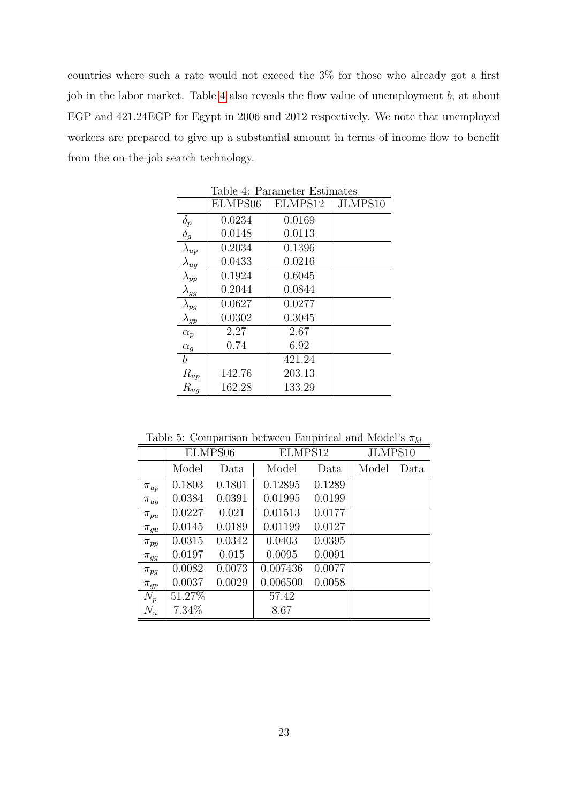countries where such a rate would not exceed the 3% for those who already got a first job in the labor market. Table [4](#page-22-0) also reveals the flow value of unemployment b, at about EGP and 421.24EGP for Egypt in 2006 and 2012 respectively. We note that unemployed workers are prepared to give up a substantial amount in terms of income flow to benefit from the on-the-job search technology.

|                            | ELMPS06 | т аганноост прониталов<br>ELMPS12 | JLMPS10 |
|----------------------------|---------|-----------------------------------|---------|
| $\delta_p$                 | 0.0234  | 0.0169                            |         |
| $\delta_g$                 | 0.0148  | 0.0113                            |         |
| $\lambda_{up}$             | 0.2034  | 0.1396                            |         |
| $\lambda_{ug}$             | 0.0433  | 0.0216                            |         |
| $\lambda_{pp}$             | 0.1924  | 0.6045                            |         |
| $\lambda_{gg}$             | 0.2044  | 0.0844                            |         |
| $\lambda_{pg}$             | 0.0627  | 0.0277                            |         |
| $\lambda_{\underline{gp}}$ | 0.0302  | 0.3045                            |         |
| $\alpha_p$                 | 2.27    | 2.67                              |         |
| $\alpha_q$                 | 0.74    | 6.92                              |         |
| b                          |         | 421.24                            |         |
| $R_{up}$                   | 142.76  | 203.13                            |         |
| $R_{ug}$                   | 162.28  | 133.29                            |         |

<span id="page-22-0"></span>Table 4: Parameter Estimates

<span id="page-22-1"></span>Table 5: Comparison between Empirical and Model's  $\pi_{kl}$ 

|            | ELMPS06 |        | ELMPS12  |        | JLMPS10 |      |
|------------|---------|--------|----------|--------|---------|------|
|            | Model   | Data   | Model    | Data   | Model   | Data |
| $\pi_{up}$ | 0.1803  | 0.1801 | 0.12895  | 0.1289 |         |      |
| $\pi_{ug}$ | 0.0384  | 0.0391 | 0.01995  | 0.0199 |         |      |
| $\pi_{pu}$ | 0.0227  | 0.021  | 0.01513  | 0.0177 |         |      |
| $\pi_{gu}$ | 0.0145  | 0.0189 | 0.01199  | 0.0127 |         |      |
| $\pi_{pp}$ | 0.0315  | 0.0342 | 0.0403   | 0.0395 |         |      |
| $\pi_{gg}$ | 0.0197  | 0.015  | 0.0095   | 0.0091 |         |      |
| $\pi_{pg}$ | 0.0082  | 0.0073 | 0.007436 | 0.0077 |         |      |
| $\pi_{gp}$ | 0.0037  | 0.0029 | 0.006500 | 0.0058 |         |      |
| $N_p$      | 51.27%  |        | 57.42    |        |         |      |
| $N_u$      | 7.34%   |        | 8.67     |        |         |      |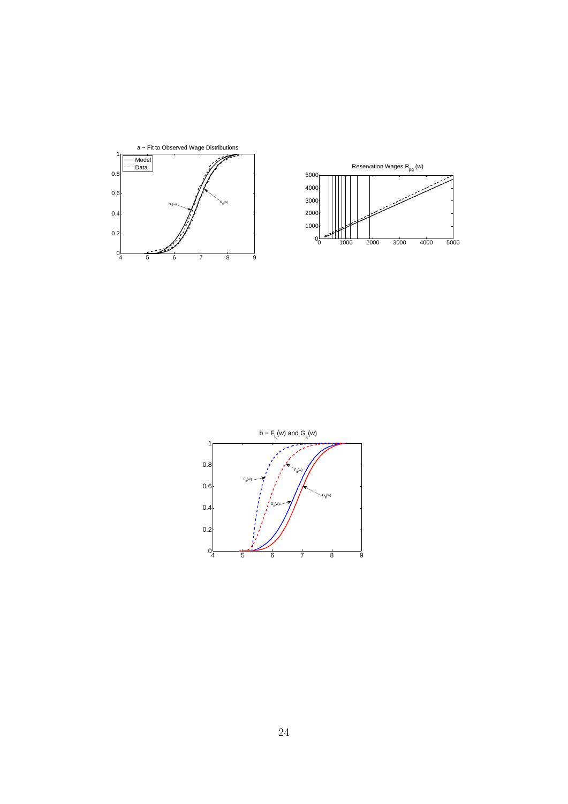



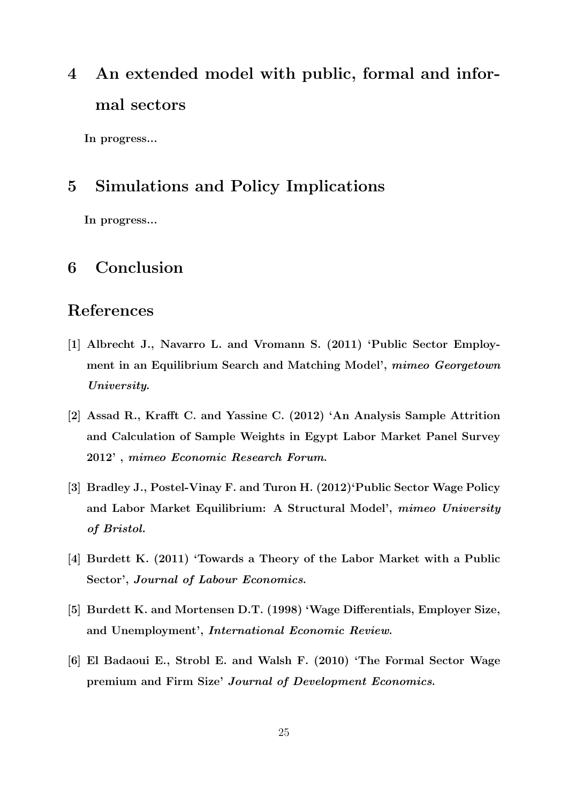4 An extended model with public, formal and informal sectors

In progress...

## 5 Simulations and Policy Implications

In progress...

## 6 Conclusion

## References

- [1] Albrecht J., Navarro L. and Vromann S. (2011) 'Public Sector Employment in an Equilibrium Search and Matching Model', mimeo Georgetown University.
- <span id="page-24-4"></span>[2] Assad R., Krafft C. and Yassine C. (2012) 'An Analysis Sample Attrition and Calculation of Sample Weights in Egypt Labor Market Panel Survey 2012' , mimeo Economic Research Forum.
- <span id="page-24-2"></span>[3] Bradley J., Postel-Vinay F. and Turon H. (2012)'Public Sector Wage Policy and Labor Market Equilibrium: A Structural Model', mimeo University of Bristol.
- <span id="page-24-0"></span>[4] Burdett K. (2011) 'Towards a Theory of the Labor Market with a Public Sector', Journal of Labour Economics.
- <span id="page-24-3"></span>[5] Burdett K. and Mortensen D.T. (1998) 'Wage Differentials, Employer Size, and Unemployment', International Economic Review.
- <span id="page-24-1"></span>[6] El Badaoui E., Strobl E. and Walsh F. (2010) 'The Formal Sector Wage premium and Firm Size' Journal of Development Economics.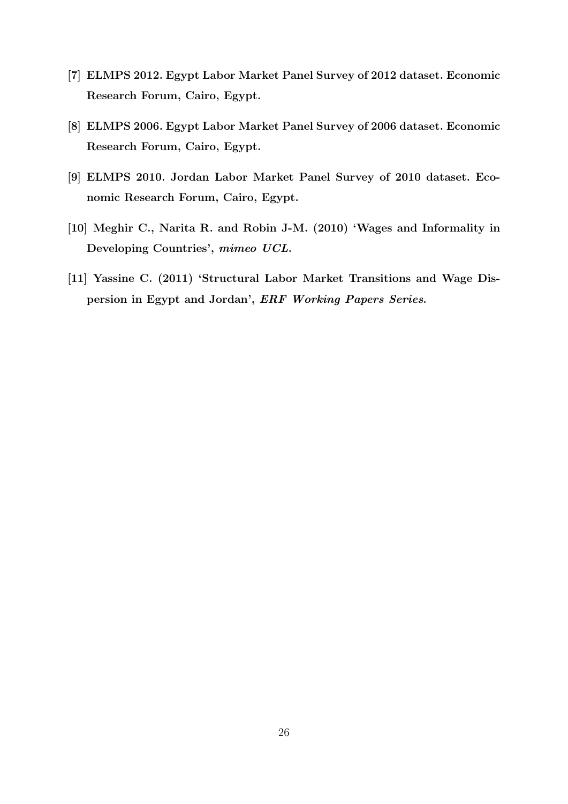- <span id="page-25-3"></span>[7] ELMPS 2012. Egypt Labor Market Panel Survey of 2012 dataset. Economic Research Forum, Cairo, Egypt.
- <span id="page-25-2"></span>[8] ELMPS 2006. Egypt Labor Market Panel Survey of 2006 dataset. Economic Research Forum, Cairo, Egypt.
- <span id="page-25-4"></span>[9] ELMPS 2010. Jordan Labor Market Panel Survey of 2010 dataset. Economic Research Forum, Cairo, Egypt.
- <span id="page-25-0"></span>[10] Meghir C., Narita R. and Robin J-M. (2010) 'Wages and Informality in Developing Countries', mimeo UCL.
- <span id="page-25-1"></span>[11] Yassine C. (2011) 'Structural Labor Market Transitions and Wage Dispersion in Egypt and Jordan', ERF Working Papers Series.